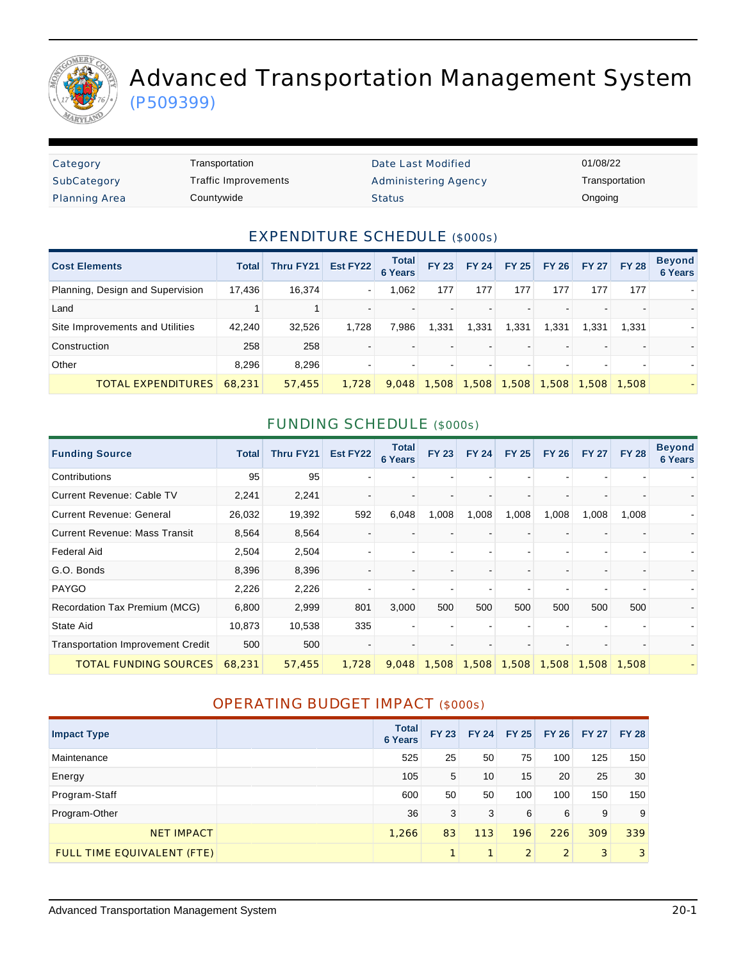

# Advanced Transportation Management System

(P509399)

| Category             | Transportation       | Date Last Modified          | 01/08/22       |
|----------------------|----------------------|-----------------------------|----------------|
| SubCategory          | Traffic Improvements | <b>Administering Agency</b> | Transportation |
| <b>Planning Area</b> | Countywide           | <b>Status</b>               | Ongoing        |

#### EXPENDITURE SCHEDULE (\$000s)

| <b>Cost Elements</b>             | <b>Total</b> | <b>Thru FY21</b> | Est FY22       | <b>Total</b><br><b>6 Years</b> | <b>FY 23</b> | <b>FY 24</b> | <b>FY 25</b> | <b>FY 26</b> |       | FY 27 FY 28 | <b>Beyond</b><br><b>6 Years</b> |
|----------------------------------|--------------|------------------|----------------|--------------------------------|--------------|--------------|--------------|--------------|-------|-------------|---------------------------------|
| Planning, Design and Supervision | 17,436       | 16,374           | $\blacksquare$ | 1.062                          | 177          | 177          | 177          | 177          | 177   | 177         |                                 |
| Land                             |              |                  |                |                                |              |              |              |              |       |             |                                 |
| Site Improvements and Utilities  | 42.240       | 32,526           | 1.728          | 7,986                          | 1,331        | 1.331        | 1,331        | 1.331        | 1,331 | 1,331       |                                 |
| Construction                     | 258          | 258              |                |                                |              |              |              |              |       |             |                                 |
| Other                            | 8,296        | 8,296            |                |                                |              |              |              |              |       |             |                                 |
| <b>TOTAL EXPENDITURES</b>        | 68.231       | 57,455           | 1.728          | 9.048                          | .508         | 1,508        | 1,508        | 1,508        | 1,508 | 1.508       |                                 |

#### FUNDING SCHEDULE (\$000s)

| <b>Funding Source</b>                    | <b>Total</b> | Thru FY21 | Est FY22 | <b>Total</b><br><b>6 Years</b> | <b>FY 23</b> | <b>FY 24</b> | <b>FY 25</b> | <b>FY 26</b> | <b>FY 27</b> | <b>FY 28</b> | <b>Beyond</b><br><b>6 Years</b> |
|------------------------------------------|--------------|-----------|----------|--------------------------------|--------------|--------------|--------------|--------------|--------------|--------------|---------------------------------|
| Contributions                            | 95           | 95        |          |                                |              |              |              |              |              |              |                                 |
| <b>Current Revenue: Cable TV</b>         | 2,241        | 2,241     |          |                                |              |              |              |              |              |              |                                 |
| <b>Current Revenue: General</b>          | 26,032       | 19,392    | 592      | 6,048                          | 1,008        | 1,008        | 1,008        | 1,008        | 1,008        | 1,008        |                                 |
| <b>Current Revenue: Mass Transit</b>     | 8,564        | 8,564     |          |                                |              |              |              |              |              |              |                                 |
| Federal Aid                              | 2,504        | 2,504     |          |                                |              |              |              |              |              |              |                                 |
| G.O. Bonds                               | 8,396        | 8,396     |          |                                |              |              |              |              |              |              |                                 |
| <b>PAYGO</b>                             | 2,226        | 2,226     |          |                                |              |              |              |              |              |              |                                 |
| Recordation Tax Premium (MCG)            | 6,800        | 2,999     | 801      | 3,000                          | 500          | 500          | 500          | 500          | 500          | 500          |                                 |
| State Aid                                | 10,873       | 10,538    | 335      |                                |              |              |              |              |              |              |                                 |
| <b>Transportation Improvement Credit</b> | 500          | 500       |          |                                |              |              |              |              |              |              |                                 |
| <b>TOTAL FUNDING SOURCES</b>             | 68,231       | 57,455    | 1,728    | 9.048                          | 1,508        | 1,508        | 1,508        | 1,508        | 1,508        | 1.508        |                                 |

#### OPERATING BUDGET IMPACT (\$000s)

| <b>Impact Type</b>         | <b>Total</b><br><b>6 Years</b> | <b>FY 23</b> | <b>FY 24</b>   | <b>FY 25</b> | <b>FY 26</b> | <b>FY 27</b> | <b>FY 28</b> |
|----------------------------|--------------------------------|--------------|----------------|--------------|--------------|--------------|--------------|
| Maintenance                | 525                            | 25           | 50             | 75           | 100          | 125          | 150          |
| Energy                     | 105                            | 5            | 10             | 15           | 20           | 25           | 30           |
| Program-Staff              | 600                            | 50           | 50             | 100          | 100          | 150          | 150          |
| Program-Other              | 36                             | 3            | 3              | 6            | 6            | 9            | 9            |
| <b>NET IMPACT</b>          | 1,266                          | 83           | 113            | 196          | 226          | 309          | 339          |
| FULL TIME EQUIVALENT (FTE) |                                | $\mathbf{1}$ | $\blacksquare$ | 2            | 2            | 3            | 3            |